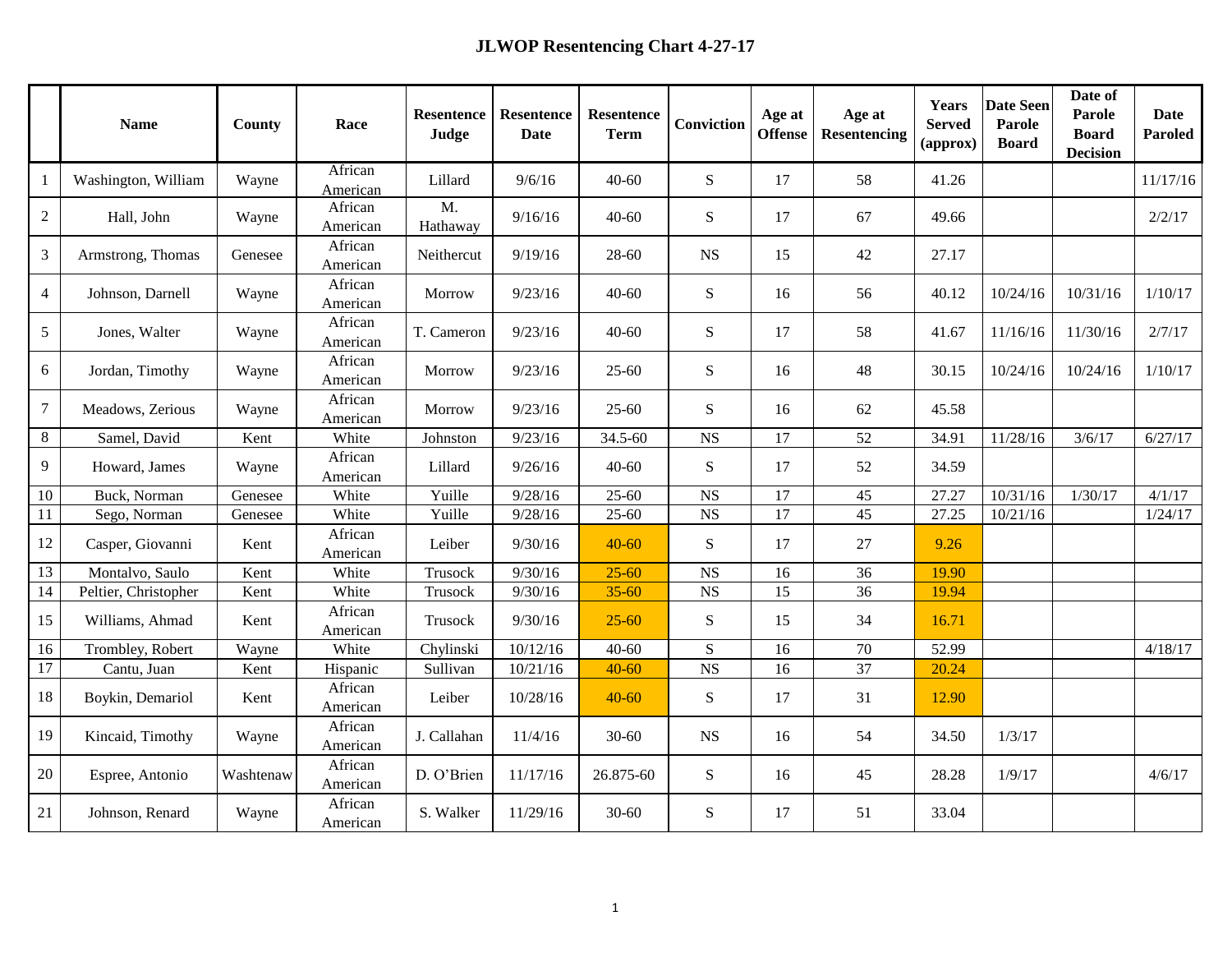|                | <b>Name</b>          | County    | Race                | <b>Resentence</b><br>Judge | <b>Resentence</b><br><b>Date</b> | Resentence<br><b>Term</b> | Conviction             | Age at<br><b>Offense</b> | Age at<br>Resentencing | <b>Years</b><br><b>Served</b><br>(approx) | <b>Date Seen</b><br><b>Parole</b><br><b>Board</b> | Date of<br><b>Parole</b><br><b>Board</b><br><b>Decision</b> | <b>Date</b><br>Paroled |
|----------------|----------------------|-----------|---------------------|----------------------------|----------------------------------|---------------------------|------------------------|--------------------------|------------------------|-------------------------------------------|---------------------------------------------------|-------------------------------------------------------------|------------------------|
| -1             | Washington, William  | Wayne     | African<br>American | Lillard                    | 9/6/16                           | $40 - 60$                 | ${\bf S}$              | 17                       | 58                     | 41.26                                     |                                                   |                                                             | 11/17/16               |
| 2              | Hall, John           | Wayne     | African<br>American | M.<br>Hathaway             | 9/16/16                          | $40 - 60$                 | ${\bf S}$              | 17                       | 67                     | 49.66                                     |                                                   |                                                             | 2/2/17                 |
| $\mathfrak{Z}$ | Armstrong, Thomas    | Genesee   | African<br>American | Neithercut                 | 9/19/16                          | 28-60                     | NS                     | 15                       | 42                     | 27.17                                     |                                                   |                                                             |                        |
| $\overline{4}$ | Johnson, Darnell     | Wayne     | African<br>American | Morrow                     | 9/23/16                          | $40 - 60$                 | ${\bf S}$              | 16                       | 56                     | 40.12                                     | 10/24/16                                          | 10/31/16                                                    | 1/10/17                |
| 5              | Jones, Walter        | Wayne     | African<br>American | T. Cameron                 | 9/23/16                          | $40 - 60$                 | $\mathbf S$            | 17                       | 58                     | 41.67                                     | 11/16/16                                          | 11/30/16                                                    | 2/7/17                 |
| 6              | Jordan, Timothy      | Wayne     | African<br>American | Morrow                     | 9/23/16                          | $25 - 60$                 | ${\bf S}$              | 16                       | 48                     | 30.15                                     | 10/24/16                                          | 10/24/16                                                    | 1/10/17                |
| $\overline{7}$ | Meadows, Zerious     | Wayne     | African<br>American | Morrow                     | 9/23/16                          | $25 - 60$                 | ${\bf S}$              | 16                       | 62                     | 45.58                                     |                                                   |                                                             |                        |
| 8              | Samel, David         | Kent      | White               | Johnston                   | 9/23/16                          | 34.5-60                   | NS                     | 17                       | 52                     | 34.91                                     | 11/28/16                                          | 3/6/17                                                      | 6/27/17                |
| 9              | Howard, James        | Wayne     | African<br>American | Lillard                    | 9/26/16                          | $40 - 60$                 | ${\bf S}$              | 17                       | 52                     | 34.59                                     |                                                   |                                                             |                        |
| 10             | Buck, Norman         | Genesee   | White               | Yuille                     | 9/28/16                          | $25 - 60$                 | $_{\rm NS}$            | 17                       | 45                     | 27.27                                     | 10/31/16                                          | 1/30/17                                                     | 4/1/17                 |
| 11             | Sego, Norman         | Genesee   | White               | Yuille                     | 9/28/16                          | $25 - 60$                 | $\overline{\text{NS}}$ | $\overline{17}$          | $\overline{45}$        | 27.25                                     | 10/21/16                                          |                                                             | 1/24/17                |
| 12             | Casper, Giovanni     | Kent      | African<br>American | Leiber                     | 9/30/16                          | $40 - 60$                 | S                      | 17                       | 27                     | 9.26                                      |                                                   |                                                             |                        |
| 13             | Montalvo, Saulo      | Kent      | White               | Trusock                    | 9/30/16                          | $25 - 60$                 | <b>NS</b>              | 16                       | 36                     | 19.90                                     |                                                   |                                                             |                        |
| 14             | Peltier, Christopher | Kent      | White               | Trusock                    | 9/30/16                          | $35 - 60$                 | <b>NS</b>              | 15                       | 36                     | 19.94                                     |                                                   |                                                             |                        |
| 15             | Williams, Ahmad      | Kent      | African<br>American | Trusock                    | 9/30/16                          | $25 - 60$                 | ${\bf S}$              | 15                       | 34                     | 16.71                                     |                                                   |                                                             |                        |
| 16             | Trombley, Robert     | Wayne     | White               | Chylinski                  | 10/12/16                         | $40 - 60$                 | ${\bf S}$              | 16                       | $70\,$                 | 52.99                                     |                                                   |                                                             | 4/18/17                |
| 17             | Cantu, Juan          | Kent      | Hispanic            | Sullivan                   | 10/21/16                         | $40 - 60$                 | <b>NS</b>              | 16                       | 37                     | 20.24                                     |                                                   |                                                             |                        |
| 18             | Boykin, Demariol     | Kent      | African<br>American | Leiber                     | 10/28/16                         | $40 - 60$                 | ${\bf S}$              | 17                       | 31                     | 12.90                                     |                                                   |                                                             |                        |
| 19             | Kincaid, Timothy     | Wayne     | African<br>American | J. Callahan                | 11/4/16                          | $30 - 60$                 | <b>NS</b>              | 16                       | 54                     | 34.50                                     | 1/3/17                                            |                                                             |                        |
| 20             | Espree, Antonio      | Washtenaw | African<br>American | D. O'Brien                 | 11/17/16                         | 26.875-60                 | $\mathbf S$            | 16                       | 45                     | 28.28                                     | 1/9/17                                            |                                                             | 4/6/17                 |
| 21             | Johnson, Renard      | Wayne     | African<br>American | S. Walker                  | 11/29/16                         | $30 - 60$                 | ${\bf S}$              | 17                       | 51                     | 33.04                                     |                                                   |                                                             |                        |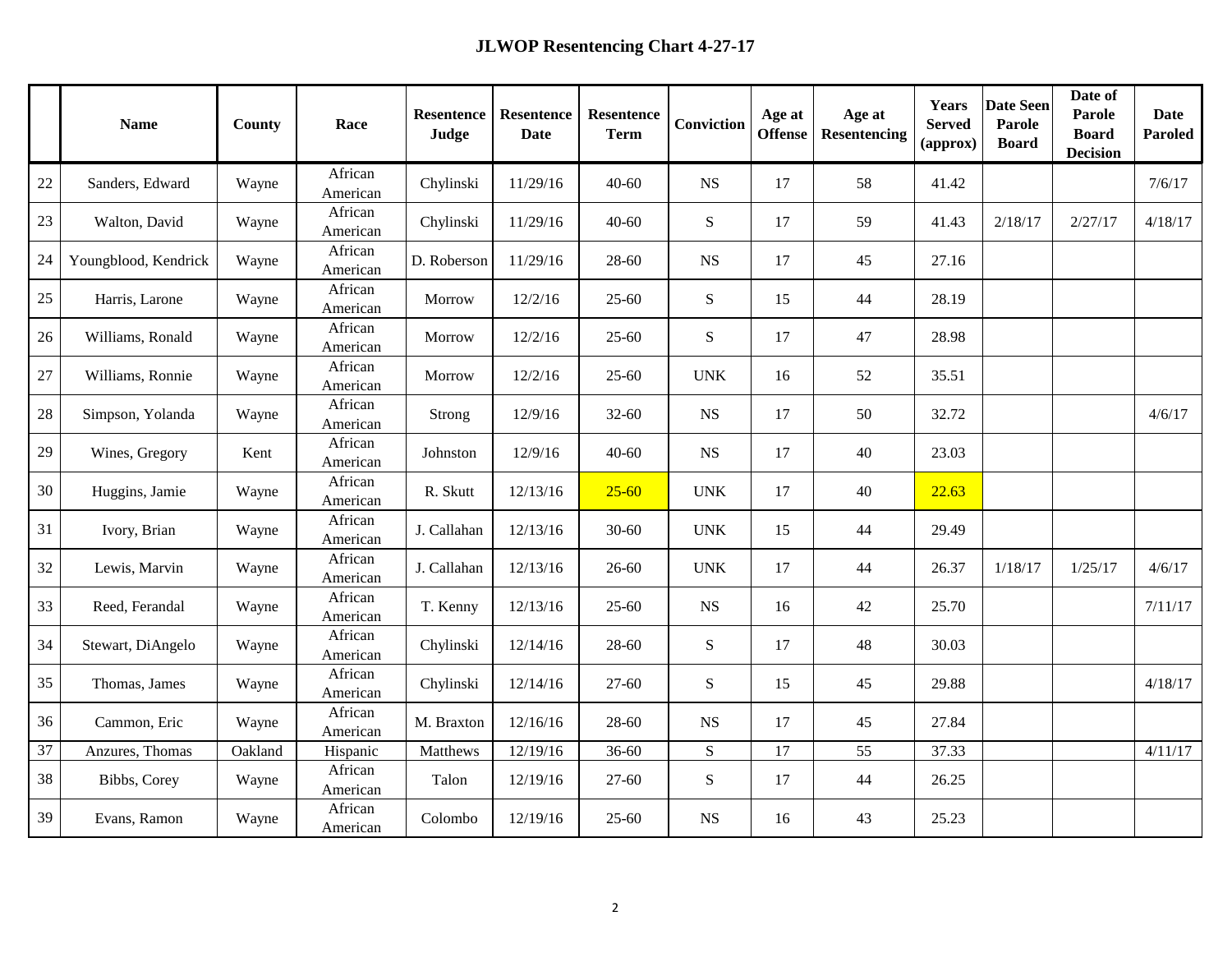|        | <b>Name</b>          | County  | Race                | <b>Resentence</b><br>Judge | <b>Resentence</b><br><b>Date</b> | Resentence<br><b>Term</b> | Conviction  | Age at<br><b>Offense</b> | Age at<br><b>Resentencing</b> | Years<br><b>Served</b><br>(approx) | <b>Date Seen</b><br><b>Parole</b><br><b>Board</b> | Date of<br>Parole<br><b>Board</b><br><b>Decision</b> | <b>Date</b><br>Paroled |
|--------|----------------------|---------|---------------------|----------------------------|----------------------------------|---------------------------|-------------|--------------------------|-------------------------------|------------------------------------|---------------------------------------------------|------------------------------------------------------|------------------------|
| 22     | Sanders, Edward      | Wayne   | African<br>American | Chylinski                  | 11/29/16                         | $40 - 60$                 | <b>NS</b>   | 17                       | 58                            | 41.42                              |                                                   |                                                      | 7/6/17                 |
| $23\,$ | Walton, David        | Wayne   | African<br>American | Chylinski                  | 11/29/16                         | $40 - 60$                 | ${\bf S}$   | 17                       | 59                            | 41.43                              | 2/18/17                                           | 2/27/17                                              | 4/18/17                |
| 24     | Youngblood, Kendrick | Wayne   | African<br>American | D. Roberson                | 11/29/16                         | 28-60                     | <b>NS</b>   | 17                       | 45                            | 27.16                              |                                                   |                                                      |                        |
| 25     | Harris, Larone       | Wayne   | African<br>American | Morrow                     | 12/2/16                          | $25 - 60$                 | ${\bf S}$   | 15                       | 44                            | 28.19                              |                                                   |                                                      |                        |
| 26     | Williams, Ronald     | Wayne   | African<br>American | Morrow                     | 12/2/16                          | $25 - 60$                 | S           | 17                       | 47                            | 28.98                              |                                                   |                                                      |                        |
| 27     | Williams, Ronnie     | Wayne   | African<br>American | Morrow                     | 12/2/16                          | $25 - 60$                 | <b>UNK</b>  | 16                       | 52                            | 35.51                              |                                                   |                                                      |                        |
| 28     | Simpson, Yolanda     | Wayne   | African<br>American | Strong                     | 12/9/16                          | $32 - 60$                 | $_{\rm NS}$ | 17                       | 50                            | 32.72                              |                                                   |                                                      | 4/6/17                 |
| 29     | Wines, Gregory       | Kent    | African<br>American | Johnston                   | 12/9/16                          | $40 - 60$                 | $_{\rm NS}$ | 17                       | 40                            | 23.03                              |                                                   |                                                      |                        |
| 30     | Huggins, Jamie       | Wayne   | African<br>American | R. Skutt                   | 12/13/16                         | $25 - 60$                 | <b>UNK</b>  | 17                       | 40                            | 22.63                              |                                                   |                                                      |                        |
| 31     | Ivory, Brian         | Wayne   | African<br>American | J. Callahan                | 12/13/16                         | $30 - 60$                 | <b>UNK</b>  | 15                       | 44                            | 29.49                              |                                                   |                                                      |                        |
| 32     | Lewis, Marvin        | Wayne   | African<br>American | J. Callahan                | 12/13/16                         | 26-60                     | <b>UNK</b>  | 17                       | 44                            | 26.37                              | 1/18/17                                           | 1/25/17                                              | 4/6/17                 |
| 33     | Reed, Ferandal       | Wayne   | African<br>American | T. Kenny                   | 12/13/16                         | $25 - 60$                 | <b>NS</b>   | 16                       | 42                            | 25.70                              |                                                   |                                                      | 7/11/17                |
| 34     | Stewart, DiAngelo    | Wayne   | African<br>American | Chylinski                  | 12/14/16                         | 28-60                     | ${\bf S}$   | 17                       | 48                            | 30.03                              |                                                   |                                                      |                        |
| 35     | Thomas, James        | Wayne   | African<br>American | Chylinski                  | 12/14/16                         | $27 - 60$                 | ${\bf S}$   | 15                       | 45                            | 29.88                              |                                                   |                                                      | 4/18/17                |
| 36     | Cammon, Eric         | Wayne   | African<br>American | M. Braxton                 | 12/16/16                         | 28-60                     | $_{\rm NS}$ | 17                       | 45                            | 27.84                              |                                                   |                                                      |                        |
| 37     | Anzures, Thomas      | Oakland | Hispanic            | Matthews                   | 12/19/16                         | $36 - 60$                 | ${\bf S}$   | 17                       | 55                            | 37.33                              |                                                   |                                                      | 4/11/17                |
| 38     | Bibbs, Corey         | Wayne   | African<br>American | Talon                      | 12/19/16                         | $27 - 60$                 | ${\bf S}$   | 17                       | 44                            | 26.25                              |                                                   |                                                      |                        |
| 39     | Evans, Ramon         | Wayne   | African<br>American | Colombo                    | 12/19/16                         | $25 - 60$                 | <b>NS</b>   | 16                       | 43                            | 25.23                              |                                                   |                                                      |                        |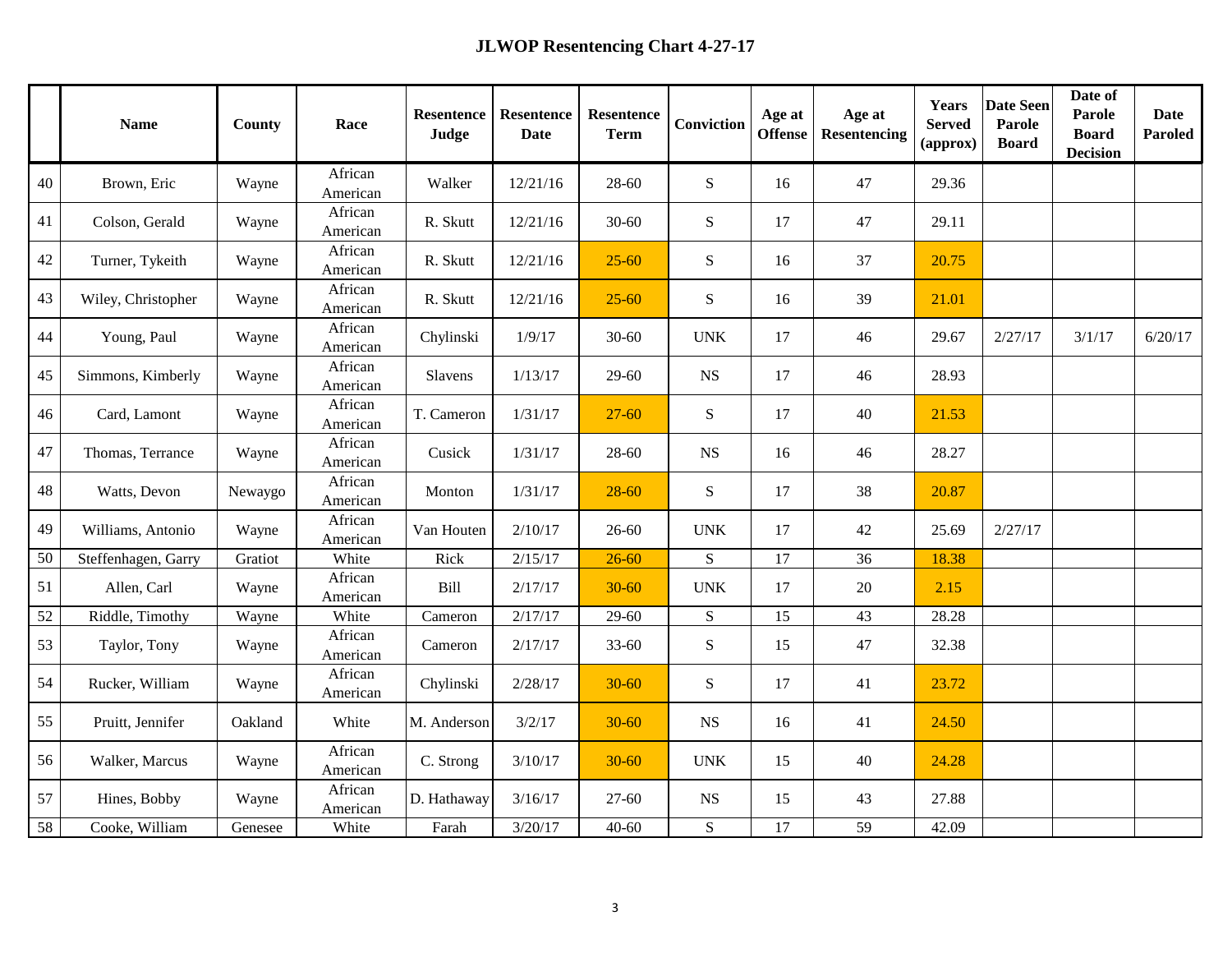|    | <b>Name</b>         | County  | Race                | Resentence<br>Judge | <b>Resentence</b><br><b>Date</b> | <b>Resentence</b><br><b>Term</b> | Conviction  | Age at<br><b>Offense</b> | Age at<br><b>Resentencing</b> | <b>Years</b><br><b>Served</b><br>(approx) | <b>Date Seen</b><br>Parole<br><b>Board</b> | Date of<br>Parole<br><b>Board</b><br><b>Decision</b> | <b>Date</b><br>Paroled |
|----|---------------------|---------|---------------------|---------------------|----------------------------------|----------------------------------|-------------|--------------------------|-------------------------------|-------------------------------------------|--------------------------------------------|------------------------------------------------------|------------------------|
| 40 | Brown, Eric         | Wayne   | African<br>American | Walker              | 12/21/16                         | 28-60                            | ${\bf S}$   | 16                       | 47                            | 29.36                                     |                                            |                                                      |                        |
| 41 | Colson, Gerald      | Wayne   | African<br>American | R. Skutt            | 12/21/16                         | $30 - 60$                        | ${\bf S}$   | 17                       | 47                            | 29.11                                     |                                            |                                                      |                        |
| 42 | Turner, Tykeith     | Wayne   | African<br>American | R. Skutt            | 12/21/16                         | $25 - 60$                        | ${\bf S}$   | 16                       | 37                            | 20.75                                     |                                            |                                                      |                        |
| 43 | Wiley, Christopher  | Wayne   | African<br>American | R. Skutt            | 12/21/16                         | $25 - 60$                        | ${\bf S}$   | 16                       | 39                            | 21.01                                     |                                            |                                                      |                        |
| 44 | Young, Paul         | Wayne   | African<br>American | Chylinski           | 1/9/17                           | $30 - 60$                        | <b>UNK</b>  | 17                       | 46                            | 29.67                                     | 2/27/17                                    | 3/1/17                                               | 6/20/17                |
| 45 | Simmons, Kimberly   | Wayne   | African<br>American | Slavens             | 1/13/17                          | $29 - 60$                        | <b>NS</b>   | 17                       | 46                            | 28.93                                     |                                            |                                                      |                        |
| 46 | Card, Lamont        | Wayne   | African<br>American | T. Cameron          | 1/31/17                          | $27 - 60$                        | ${\bf S}$   | 17                       | $40\,$                        | 21.53                                     |                                            |                                                      |                        |
| 47 | Thomas, Terrance    | Wayne   | African<br>American | Cusick              | 1/31/17                          | 28-60                            | $_{\rm NS}$ | 16                       | 46                            | 28.27                                     |                                            |                                                      |                        |
| 48 | Watts, Devon        | Newaygo | African<br>American | Monton              | 1/31/17                          | $28 - 60$                        | ${\bf S}$   | 17                       | 38                            | 20.87                                     |                                            |                                                      |                        |
| 49 | Williams, Antonio   | Wayne   | African<br>American | Van Houten          | 2/10/17                          | 26-60                            | <b>UNK</b>  | 17                       | $42\,$                        | 25.69                                     | 2/27/17                                    |                                                      |                        |
| 50 | Steffenhagen, Garry | Gratiot | White               | Rick                | 2/15/17                          | $26 - 60$                        | ${\bf S}$   | 17                       | 36                            | 18.38                                     |                                            |                                                      |                        |
| 51 | Allen, Carl         | Wayne   | African<br>American | Bill                | 2/17/17                          | $30 - 60$                        | <b>UNK</b>  | 17                       | $20\,$                        | 2.15                                      |                                            |                                                      |                        |
| 52 | Riddle, Timothy     | Wayne   | White               | Cameron             | 2/17/17                          | $29 - 60$                        | S           | 15                       | 43                            | 28.28                                     |                                            |                                                      |                        |
| 53 | Taylor, Tony        | Wayne   | African<br>American | Cameron             | 2/17/17                          | $33 - 60$                        | ${\bf S}$   | 15                       | 47                            | 32.38                                     |                                            |                                                      |                        |
| 54 | Rucker, William     | Wayne   | African<br>American | Chylinski           | 2/28/17                          | $30 - 60$                        | ${\bf S}$   | 17                       | 41                            | 23.72                                     |                                            |                                                      |                        |
| 55 | Pruitt, Jennifer    | Oakland | White               | M. Anderson         | 3/2/17                           | $30 - 60$                        | $_{\rm NS}$ | 16                       | 41                            | 24.50                                     |                                            |                                                      |                        |
| 56 | Walker, Marcus      | Wayne   | African<br>American | C. Strong           | 3/10/17                          | $30 - 60$                        | <b>UNK</b>  | 15                       | $40\,$                        | 24.28                                     |                                            |                                                      |                        |
| 57 | Hines, Bobby        | Wayne   | African<br>American | D. Hathaway         | 3/16/17                          | $27 - 60$                        | $_{\rm NS}$ | 15                       | 43                            | 27.88                                     |                                            |                                                      |                        |
| 58 | Cooke, William      | Genesee | White               | Farah               | 3/20/17                          | $40 - 60$                        | ${\bf S}$   | 17                       | 59                            | 42.09                                     |                                            |                                                      |                        |